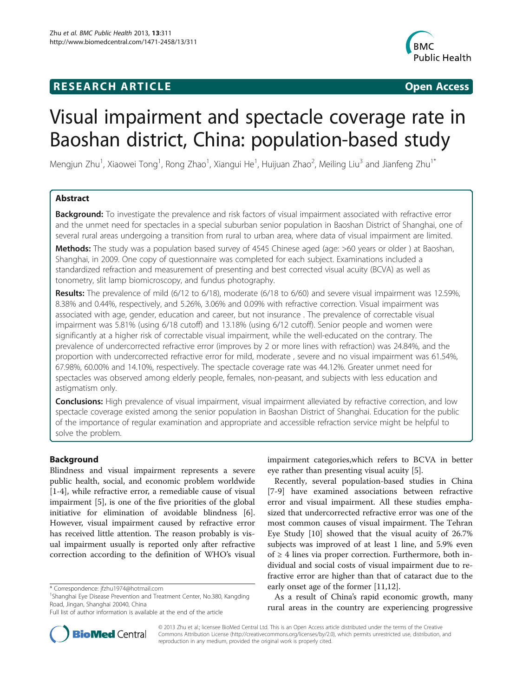# **RESEARCH ARTICLE Example 2018 12:00 Department of the CONNECTION CONNECTION CONNECTION CONNECTION**



# Visual impairment and spectacle coverage rate in Baoshan district, China: population-based study

Mengjun Zhu<sup>1</sup>, Xiaowei Tong<sup>1</sup>, Rong Zhao<sup>1</sup>, Xiangui He<sup>1</sup>, Huijuan Zhao<sup>2</sup>, Meiling Liu<sup>3</sup> and Jianfeng Zhu<sup>1\*</sup>

# Abstract

**Background:** To investigate the prevalence and risk factors of visual impairment associated with refractive error and the unmet need for spectacles in a special suburban senior population in Baoshan District of Shanghai, one of several rural areas undergoing a transition from rural to urban area, where data of visual impairment are limited.

Methods: The study was a population based survey of 4545 Chinese aged (age: >60 years or older) at Baoshan, Shanghai, in 2009. One copy of questionnaire was completed for each subject. Examinations included a standardized refraction and measurement of presenting and best corrected visual acuity (BCVA) as well as tonometry, slit lamp biomicroscopy, and fundus photography.

Results: The prevalence of mild (6/12 to 6/18), moderate (6/18 to 6/60) and severe visual impairment was 12.59%, 8.38% and 0.44%, respectively, and 5.26%, 3.06% and 0.09% with refractive correction. Visual impairment was associated with age, gender, education and career, but not insurance . The prevalence of correctable visual impairment was 5.81% (using 6/18 cutoff) and 13.18% (using 6/12 cutoff). Senior people and women were significantly at a higher risk of correctable visual impairment, while the well-educated on the contrary. The prevalence of undercorrected refractive error (improves by 2 or more lines with refraction) was 24.84%, and the proportion with undercorrected refractive error for mild, moderate , severe and no visual impairment was 61.54%, 67.98%, 60.00% and 14.10%, respectively. The spectacle coverage rate was 44.12%. Greater unmet need for spectacles was observed among elderly people, females, non-peasant, and subjects with less education and astigmatism only.

Conclusions: High prevalence of visual impairment, visual impairment alleviated by refractive correction, and low spectacle coverage existed among the senior population in Baoshan District of Shanghai. Education for the public of the importance of regular examination and appropriate and accessible refraction service might be helpful to solve the problem.

# Background

Blindness and visual impairment represents a severe public health, social, and economic problem worldwide [[1-4](#page-11-0)], while refractive error, a remediable cause of visual impairment [\[5\]](#page-11-0), is one of the five priorities of the global initiative for elimination of avoidable blindness [\[6](#page-11-0)]. However, visual impairment caused by refractive error has received little attention. The reason probably is visual impairment usually is reported only after refractive correction according to the definition of WHO's visual

impairment categories,which refers to BCVA in better eye rather than presenting visual acuity [[5\]](#page-11-0).

Recently, several population-based studies in China [[7-9](#page-11-0)] have examined associations between refractive error and visual impairment. All these studies emphasized that undercorrected refractive error was one of the most common causes of visual impairment. The Tehran Eye Study [[10](#page-11-0)] showed that the visual acuity of 26.7% subjects was improved of at least 1 line, and 5.9% even of ≥ 4 lines via proper correction. Furthermore, both individual and social costs of visual impairment due to refractive error are higher than that of cataract due to the early onset age of the former [\[11,12\]](#page-11-0).

As a result of China's rapid economic growth, many rural areas in the country are experiencing progressive



© 2013 Zhu et al.; licensee BioMed Central Ltd. This is an Open Access article distributed under the terms of the Creative Commons Attribution License [\(http://creativecommons.org/licenses/by/2.0\)](http://creativecommons.org/licenses/by/2.0), which permits unrestricted use, distribution, and reproduction in any medium, provided the original work is properly cited.

<sup>\*</sup> Correspondence: [jfzhu1974@hotmail.com](mailto:jfzhu1974@hotmail.com) <sup>1</sup>

<sup>&</sup>lt;sup>1</sup>Shanghai Eye Disease Prevention and Treatment Center, No.380, Kangding Road, Jingan, Shanghai 20040, China

Full list of author information is available at the end of the article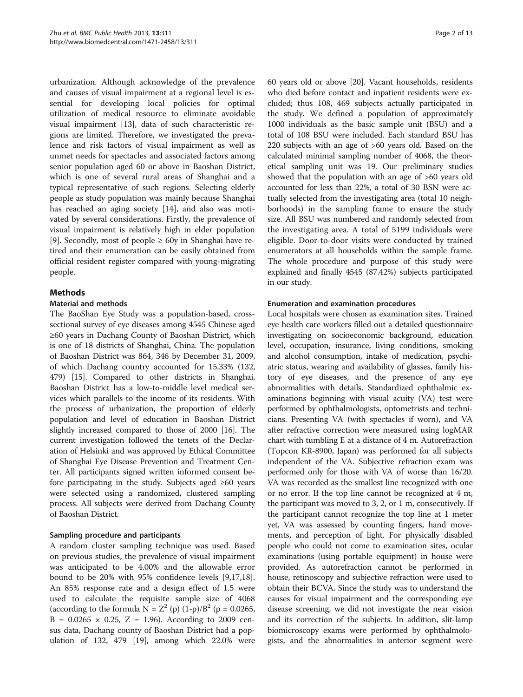urbanization. Although acknowledge of the prevalence and causes of visual impairment at a regional level is essential for developing local policies for optimal utilization of medical resource to eliminate avoidable visual impairment [[13](#page-11-0)], data of such characteristic regions are limited. Therefore, we investigated the prevalence and risk factors of visual impairment as well as unmet needs for spectacles and associated factors among senior population aged 60 or above in Baoshan District, which is one of several rural areas of Shanghai and a typical representative of such regions. Selecting elderly people as study population was mainly because Shanghai has reached an aging society [\[14\]](#page-11-0), and also was motivated by several considerations. Firstly, the prevalence of visual impairment is relatively high in elder population [[9\]](#page-11-0). Secondly, most of people  $\geq 60y$  in Shanghai have retired and their enumeration can be easily obtained from official resident register compared with young-migrating people.

# Methods

# Material and methods

The BaoShan Eye Study was a population-based, crosssectional survey of eye diseases among 4545 Chinese aged ≥60 years in Dachang County of Baoshan District, which is one of 18 districts of Shanghai, China. The population of Baoshan District was 864, 346 by December 31, 2009, of which Dachang country accounted for 15.33% (132, 479) [\[15\]](#page-11-0). Compared to other districts in Shanghai, Baoshan District has a low-to-middle level medical services which parallels to the income of its residents. With the process of urbanization, the proportion of elderly population and level of education in Baoshan District slightly increased compared to those of 2000 [\[16\]](#page-11-0). The current investigation followed the tenets of the Declaration of Helsinki and was approved by Ethical Committee of Shanghai Eye Disease Prevention and Treatment Center. All participants signed written informed consent before participating in the study. Subjects aged ≥60 years were selected using a randomized, clustered sampling process. All subjects were derived from Dachang County of Baoshan District.

# Sampling procedure and participants

A random cluster sampling technique was used. Based on previous studies, the prevalence of visual impairment was anticipated to be 4.00% and the allowable error bound to be 20% with 95% confidence levels [\[9,17,18](#page-11-0)]. An 85% response rate and a design effect of 1.5 were used to calculate the requisite sample size of 4068 (according to the formula N =  $Z^2$  (p) (1-p)/B<sup>2</sup> (p = 0.0265,  $B = 0.0265 \times 0.25$ ,  $Z = 1.96$ . According to 2009 census data, Dachang county of Baoshan District had a population of 132, 479 [\[19\]](#page-11-0), among which 22.0% were 60 years old or above [[20](#page-11-0)]. Vacant households, residents who died before contact and inpatient residents were excluded; thus 108, 469 subjects actually participated in the study. We defined a population of approximately 1000 individuals as the basic sample unit (BSU) and a total of 108 BSU were included. Each standard BSU has 220 subjects with an age of >60 years old. Based on the calculated minimal sampling number of 4068, the theoretical sampling unit was 19. Our preliminary studies showed that the population with an age of >60 years old accounted for less than 22%, a total of 30 BSN were actually selected from the investigating area (total 10 neighborhoods) in the sampling frame to ensure the study size. All BSU was numbered and randomly selected from the investigating area. A total of 5199 individuals were eligible. Door-to-door visits were conducted by trained enumerators at all households within the sample frame. The whole procedure and purpose of this study were explained and finally 4545 (87.42%) subjects participated in our study.

# Enumeration and examination procedures

Local hospitals were chosen as examination sites. Trained eye health care workers filled out a detailed questionnaire investigating on socioeconomic background, education level, occupation, insurance, living conditions, smoking and alcohol consumption, intake of medication, psychiatric status, wearing and availability of glasses, family history of eye diseases, and the presence of any eye abnormalities with details. Standardized ophthalmic examinations beginning with visual acuity (VA) test were performed by ophthalmologists, optometrists and technicians. Presenting VA (with spectacles if worn), and VA after refractive correction were measured using logMAR chart with tumbling E at a distance of 4 m. Autorefraction (Topcon KR-8900, Japan) was performed for all subjects independent of the VA. Subjective refraction exam was performed only for those with VA of worse than 16/20. VA was recorded as the smallest line recognized with one or no error. If the top line cannot be recognized at 4 m, the participant was moved to 3, 2, or 1 m, consecutively. If the participant cannot recognize the top line at 1 meter yet, VA was assessed by counting fingers, hand movements, and perception of light. For physically disabled people who could not come to examination sites, ocular examinations (using portable equipment) in house were provided. As autorefraction cannot be performed in house, retinoscopy and subjective refraction were used to obtain their BCVA. Since the study was to understand the causes for visual impairment and the corresponding eye disease screening, we did not investigate the near vision and its correction of the subjects. In addition, slit-lamp biomicroscopy exams were performed by ophthalmologists, and the abnormalities in anterior segment were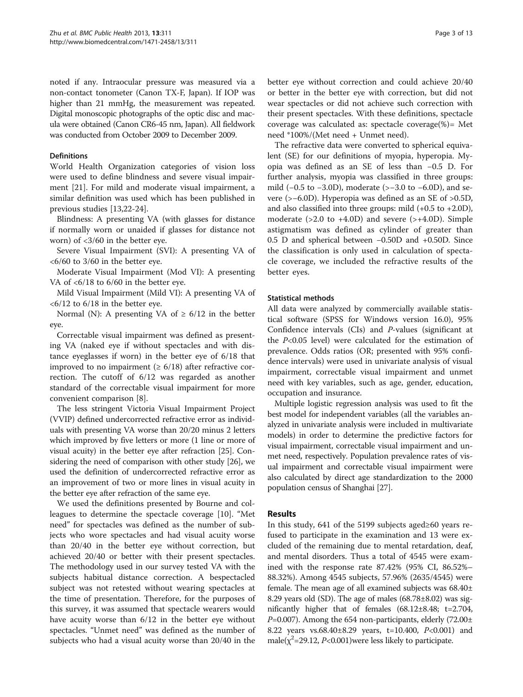noted if any. Intraocular pressure was measured via a non-contact tonometer (Canon TX-F, Japan). If IOP was higher than 21 mmHg, the measurement was repeated. Digital monoscopic photographs of the optic disc and macula were obtained (Canon CR6-45 nm, Japan). All fieldwork was conducted from October 2009 to December 2009.

# Definitions

World Health Organization categories of vision loss were used to define blindness and severe visual impairment [[21\]](#page-11-0). For mild and moderate visual impairment, a similar definition was used which has been published in previous studies [[13](#page-11-0),[22](#page-11-0)-[24\]](#page-11-0).

Blindness: A presenting VA (with glasses for distance if normally worn or unaided if glasses for distance not worn) of <3/60 in the better eye.

Severe Visual Impairment (SVI): A presenting VA of <6/60 to 3/60 in the better eye.

Moderate Visual Impairment (Mod VI): A presenting VA of  $<6/18$  to  $6/60$  in the better eye.

Mild Visual Impairment (Mild VI): A presenting VA of  $<6/12$  to  $6/18$  in the better eye.

Normal (N): A presenting VA of  $\geq 6/12$  in the better eye.

Correctable visual impairment was defined as presenting VA (naked eye if without spectacles and with distance eyeglasses if worn) in the better eye of 6/18 that improved to no impairment ( $\geq 6/18$ ) after refractive correction. The cutoff of 6/12 was regarded as another standard of the correctable visual impairment for more convenient comparison [\[8](#page-11-0)].

The less stringent Victoria Visual Impairment Project (VVIP) defined undercorrected refractive error as individuals with presenting VA worse than 20/20 minus 2 letters which improved by five letters or more (1 line or more of visual acuity) in the better eye after refraction [[25](#page-11-0)]. Considering the need of comparison with other study [[26](#page-11-0)], we used the definition of undercorrected refractive error as an improvement of two or more lines in visual acuity in the better eye after refraction of the same eye.

We used the definitions presented by Bourne and colleagues to determine the spectacle coverage [[10\]](#page-11-0). "Met need" for spectacles was defined as the number of subjects who wore spectacles and had visual acuity worse than 20/40 in the better eye without correction, but achieved 20/40 or better with their present spectacles. The methodology used in our survey tested VA with the subjects habitual distance correction. A bespectacled subject was not retested without wearing spectacles at the time of presentation. Therefore, for the purposes of this survey, it was assumed that spectacle wearers would have acuity worse than 6/12 in the better eye without spectacles. "Unmet need" was defined as the number of subjects who had a visual acuity worse than 20/40 in the better eye without correction and could achieve 20/40 or better in the better eye with correction, but did not wear spectacles or did not achieve such correction with their present spectacles. With these definitions, spectacle coverage was calculated as: spectacle coverage(%)= Met need \*100%/(Met need + Unmet need).

The refractive data were converted to spherical equivalent (SE) for our definitions of myopia, hyperopia. Myopia was defined as an SE of less than −0.5 D. For further analysis, myopia was classified in three groups: mild (−0.5 to −3.0D), moderate (>−3.0 to −6.0D), and severe (>−6.0D). Hyperopia was defined as an SE of >0.5D, and also classified into three groups: mild  $(+0.5 \text{ to } +2.0 \text{D})$ , moderate  $(>2.0$  to  $+4.0D)$  and severe  $(>+4.0D)$ . Simple astigmatism was defined as cylinder of greater than 0.5 D and spherical between −0.50D and +0.50D. Since the classification is only used in calculation of spectacle coverage, we included the refractive results of the better eyes.

# Statistical methods

All data were analyzed by commercially available statistical software (SPSS for Windows version 16.0), 95% Confidence intervals (CIs) and P-values (significant at the  $P<0.05$  level) were calculated for the estimation of prevalence. Odds ratios (OR; presented with 95% confidence intervals) were used in univariate analysis of visual impairment, correctable visual impairment and unmet need with key variables, such as age, gender, education, occupation and insurance.

Multiple logistic regression analysis was used to fit the best model for independent variables (all the variables analyzed in univariate analysis were included in multivariate models) in order to determine the predictive factors for visual impairment, correctable visual impairment and unmet need, respectively. Population prevalence rates of visual impairment and correctable visual impairment were also calculated by direct age standardization to the 2000 population census of Shanghai [\[27\]](#page-11-0).

# Results

In this study, 641 of the 5199 subjects aged≥60 years refused to participate in the examination and 13 were excluded of the remaining due to mental retardation, deaf, and mental disorders. Thus a total of 4545 were examined with the response rate 87.42% (95% CI, 86.52%– 88.32%). Among 4545 subjects, 57.96% (2635/4545) were female. The mean age of all examined subjects was 68.40± 8.29 years old (SD). The age of males (68.78±8.02) was significantly higher that of females (68.12±8.48; t=2.704,  $P=0.007$ ). Among the 654 non-participants, elderly (72.00 $\pm$ 8.22 years vs.68.40±8.29 years, t=10.400, P<0.001) and male( $\chi^2$ =29.12, P<0.001)were less likely to participate.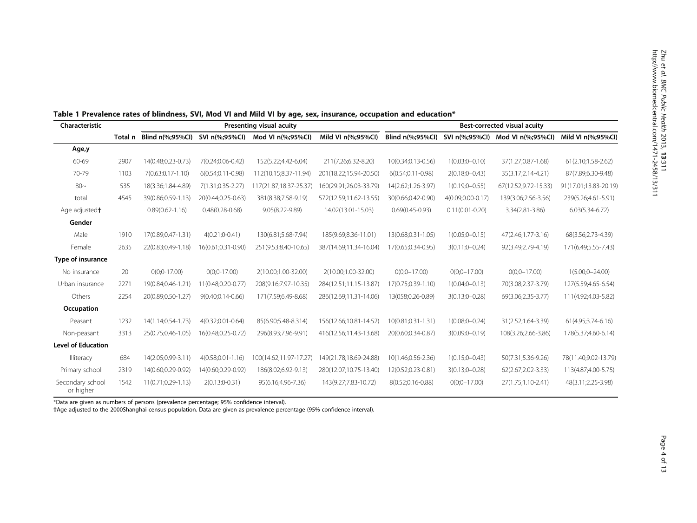| Characteristic                |         |                     |                        | Presenting visual acuity |                        | Best-corrected visual acuity |                     |                      |                       |
|-------------------------------|---------|---------------------|------------------------|--------------------------|------------------------|------------------------------|---------------------|----------------------|-----------------------|
|                               | Total n | Blind n(%:95%Cl)    | SVI n(%:95%CI)         | Mod VI n(%:95%CI)        | Mild VI n(%;95%CI)     | Blind n(%:95%Cl)             | SVI n(%:95%CI)      | Mod VI n(%:95%CI)    | Mild VI n(%;95%CI)    |
| Age,y                         |         |                     |                        |                          |                        |                              |                     |                      |                       |
| 60-69                         | 2907    | 14(0.48;0.23-0.73)  | 7(0.24;0.06-0.42)      | 152(5.22;4.42-6.04)      | 211(7.26;6.32-8.20)    | 10(0.34;0.13-0.56)           | $1(0.03; 0 - 0.10)$ | 37(1.27;0.87-1.68)   | 61(2.10;1.58-2.62)    |
| 70-79                         | 1103    | 7(0.63;0.17-1.10)   | $6(0.54; 0.11 - 0.98)$ | 112(10.15;8.37-11.94)    | 201(18.22;15.94-20.50) | $6(0.54; 0.11 - 0.98)$       | $2(0.18; 0 - 0.43)$ | 35(3.17;2.14-4.21)   | 87(7.89;6.30-9.48)    |
| $80-$                         | 535     | 18(3.36;1.84-4.89)  | 7(1.31;0.35-2.27)      | 117(21.87;18.37-25.37)   | 160(29.91;26.03-33.79) | 14(2.62;1.26-3.97)           | $1(0.19; 0 - 0.55)$ | 67(12.52;9.72-15.33) | 91(17.01;13.83-20.19) |
| total                         | 4545    | 39(0.86;0.59-1.13)  | 20(0.44;0.25-0.63)     | 381(8.38;7.58-9.19)      | 572(12.59;11.62-13.55) | 30(0.66;0.42-0.90)           | 4(0.09;0.00-0.17)   | 139(3.06;2.56-3.56)  | 239(5.26;4.61-5.91)   |
| Age adjusted <sup>+</sup>     |         | $0.89(0.62 - 1.16)$ | $0.48(0.28 - 0.68)$    | 9.05(8.22-9.89)          | 14.02(13.01-15.03)     | $0.69(0.45 - 0.93)$          | $0.11(0.01 - 0.20)$ | $3.34(2.81 - 3.86)$  | $6.03(5.34-6.72)$     |
| Gender                        |         |                     |                        |                          |                        |                              |                     |                      |                       |
| Male                          | 1910    | 17(0.89;0.47-1.31)  | $4(0.21; 0 - 0.41)$    | 130(6.81;5.68-7.94)      | 185(9.69;8.36-11.01)   | 13(0.68;0.31-1.05)           | $1(0.05; 0 - 0.15)$ | 47(2.46;1.77-3.16)   | 68(3.56;2.73-4.39)    |
| Female                        | 2635    | 22(0.83;0.49-1.18)  | 16(0.61;0.31-0.90)     | 251(9.53;8.40-10.65)     | 387(14.69;11.34-16.04) | 17(0.65;0.34-0.95)           | $3(0.11; 0 - 0.24)$ | 92(3.49;2.79-4.19)   | 171(6.49;5.55-7.43)   |
| Type of insurance             |         |                     |                        |                          |                        |                              |                     |                      |                       |
| No insurance                  | 20      | $O(0; 0-17.00)$     | $O(0; 0-17.00)$        | 2(10.00;1.00-32.00)      | 2(10.00;1.00-32.00)    | $0(0;0-17.00)$               | $0(0;0-17.00)$      | $O(0;0-17.00)$       | $1(5.00;0 - 24.00)$   |
| Urban insurance               | 2271    | 19(0.84;0.46-1.21)  | 11(0.48;0.20-0.77)     | 208(9.16;7.97-10.35)     | 284(12.51;11.15-13.87) | 17(0.75;0.39-1.10)           | $1(0.04; 0 - 0.13)$ | 70(3.08;2.37-3.79)   | 127(5.59;4.65-6.54)   |
| Others                        | 2254    | 20(0.89;0.50-1.27)  | 9(0.40;0.14-0.66)      | 171(7.59;6.49-8.68)      | 286(12.69;11.31-14.06) | 13(058;0.26-0.89)            | $3(0.13; 0 - 0.28)$ | 69(3.06;2.35-3.77)   | 111(4.92;4.03-5.82)   |
| Occupation                    |         |                     |                        |                          |                        |                              |                     |                      |                       |
| Peasant                       | 1232    | 14(1.14;0.54-1.73)  | 4(0.32;0.01-0.64)      | 85(6.90;5.48-8.314)      | 156(12.66;10.81-14.52) | 10(0.81;0.31-1.31)           | $1(0.08; 0 - 0.24)$ | 31(2.52;1.64-3.39)   | 61(4.95;3.74-6.16)    |
| Non-peasant                   | 3313    | 25(0.75;0.46-1.05)  | 16(0.48;0.25-0.72)     | 296(8.93;7.96-9.91)      | 416(12.56;11.43-13.68) | 20(0.60;0.34-0.87)           | $3(0.09; 0 - 0.19)$ | 108(3.26;2.66-3.86)  | 178(5.37;4.60-6.14)   |
| <b>Level of Education</b>     |         |                     |                        |                          |                        |                              |                     |                      |                       |
| Illiteracy                    | 684     | 14(2.05;0.99-3.11)  | $4(0.58; 0.01 - 1.16)$ | 100(14.62;11.97-17.27)   | 149(21.78;18.69-24.88) | 10(1.46;0.56-2.36)           | $1(0.15; 0 - 0.43)$ | 50(7.31;5.36-9.26)   | 78(11.40;9.02-13.79)  |
| Primary school                | 2319    | 14(0.60;0.29-0.92)  | 14(0.60;0.29-0.92)     | 186(8.02;6.92-9.13)      | 280(12.07;10.75-13.40) | 12(0.52;0.23-0.81)           | $3(0.13; 0 - 0.28)$ | 62(2.67;2.02-3.33)   | 113(4.87;4.00-5.75)   |
| Secondary school<br>or higher | 1542    | 11(0.71;0.29-1.13)  | $2(0.13; 0-0.31)$      | 95(6.16;4.96-7.36)       | 143(9.27;7.83-10.72)   | 8(0.52;0.16-0.88)            | $O(0; 0 - 17.00)$   | 27(1.75;1.10-2.41)   | 48(3.11;2.25-3.98)    |

<span id="page-3-0"></span>

| Table 1 Prevalence rates of blindness, SVI, Mod VI and Mild VI by age, sex, insurance, occupation and education* |  |  |  |  |
|------------------------------------------------------------------------------------------------------------------|--|--|--|--|
|------------------------------------------------------------------------------------------------------------------|--|--|--|--|

\*Data are given as numbers of persons (prevalence percentage; 95% confidence interval).

+Age adjusted to the 2000Shanghai census population. Data are given as prevalence percentage (95% confidence interval).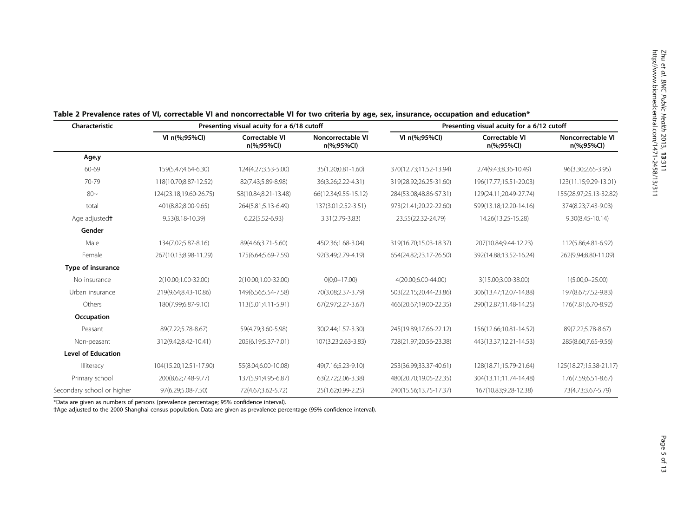| Characteristic             |                        | Presenting visual acuity for a 6/18 cutoff |                                 | Presenting visual acuity for a 6/12 cutoff |                              |                                 |  |
|----------------------------|------------------------|--------------------------------------------|---------------------------------|--------------------------------------------|------------------------------|---------------------------------|--|
|                            | VI n(%;95%CI)          | Correctable VI<br>n(%;95%Cl)               | Noncorrectable VI<br>n(%;95%Cl) | VI n(%;95%CI)                              | Correctable VI<br>n(%;95%Cl) | Noncorrectable VI<br>n(%;95%Cl) |  |
| Age,y                      |                        |                                            |                                 |                                            |                              |                                 |  |
| 60-69                      | 159(5.47;4.64-6.30)    | 124(4.27;3.53-5.00)                        | 35(1.20;0.81-1.60)              | 370(12.73;11.52-13.94)                     | 274(9.43;8.36-10.49)         | 96(3.30;2.65-3.95)              |  |
| 70-79                      | 118(10.70;8.87-12.52)  | 82(7.43;5.89-8.98)                         | 36(3.26;2.22-4.31)              | 319(28.92;26.25-31.60)                     | 196(17.77;15.51-20.03)       | 123(11.15;9.29-13.01)           |  |
| $80-$                      | 124(23.18;19.60-26.75) | 58(10.84;8.21-13.48)                       | 66(12.34;9.55-15.12)            | 284(53.08;48.86-57.31)                     | 129(24.11;20.49-27.74)       | 155(28.97;25.13-32.82)          |  |
| total                      | 401(8.82;8.00-9.65)    | 264(5.81;5.13-6.49)                        | 137(3.01;2.52-3.51)             | 973(21.41;20.22-22.60)                     | 599(13.18;12.20-14.16)       | 374(8.23;7.43-9.03)             |  |
| Age adjusted <sup>+</sup>  | 9.53(8.18-10.39)       | $6.22(5.52 - 6.93)$                        | 3.31(2.79-3.83)                 | 23.55(22.32-24.79)                         | 14.26(13.25-15.28)           | $9.30(8.45 - 10.14)$            |  |
| Gender                     |                        |                                            |                                 |                                            |                              |                                 |  |
| Male                       | 134(7.02;5.87-8.16)    | 89(4.66;3.71-5.60)                         | 45(2.36;1.68-3.04)              | 319(16.70;15.03-18.37)                     | 207(10.84;9.44-12.23)        | 112(5.86;4.81-6.92)             |  |
| Female                     | 267(10.13;8.98-11.29)  | 175(6.64;5.69-7.59)                        | 92(3.49;2.79-4.19)              | 654(24.82;23.17-26.50)                     | 392(14.88;13.52-16.24)       | 262(9.94;8.80-11.09)            |  |
| Type of insurance          |                        |                                            |                                 |                                            |                              |                                 |  |
| No insurance               | 2(10.00;1.00-32.00)    | 2(10.00;1.00-32.00)                        | $O(0; 0 - 17.00)$               | 4(20.00;6.00-44.00)                        | 3(15.00;3.00-38.00)          | $1(5.00; 0 - 25.00)$            |  |
| Urban insurance            | 219(9.64;8.43-10.86)   | 149(6.56;5.54-7.58)                        | 70(3.08;2.37-3.79)              | 503(22.15;20.44-23.86)                     | 306(13.47;12.07-14.88)       | 197(8.67;7.52-9.83)             |  |
| Others                     | 180(7.99;6.87-9.10)    | 113(5.01;4.11-5.91)<br>67(2.97;2.27-3.67)  |                                 | 466(20.67;19.00-22.35)                     | 290(12.87;11.48-14.25)       | 176(7.81;6.70-8.92)             |  |
| Occupation                 |                        |                                            |                                 |                                            |                              |                                 |  |
| Peasant                    | 89(7.22;5.78-8.67)     | 59(4.79;3.60-5.98)                         | 30(2.44;1.57-3.30)              | 245(19.89;17.66-22.12)                     | 156(12.66;10.81-14.52)       | 89(7.22;5.78-8.67)              |  |
| Non-peasant                | 312(9.42;8.42-10.41)   | 205(6.19;5.37-7.01)                        | 107(3.23;2.63-3.83)             | 728(21.97;20.56-23.38)                     | 443(13.37;12.21-14.53)       | 285(8.60;7.65-9.56)             |  |
| <b>Level of Education</b>  |                        |                                            |                                 |                                            |                              |                                 |  |
| Illiteracy                 | 104(15.20;12.51-17.90) | 55(8.04;6.00-10.08)                        | 49(7.16;5.23-9.10)              | 253(36.99;33.37-40.61)                     | 128(18.71;15.79-21.64)       | 125(18.27;15.38-21.17)          |  |
| Primary school             | 200(8.62;7.48-9.77)    | 137(5.91;4.95-6.87)                        | 63(2.72;2.06-3.38)              | 480(20.70;19.05-22.35)                     | 304(13.11;11.74-14.48)       | 176(7.59;6.51-8.67)             |  |
| Secondary school or higher | 97(6.29;5.08-7.50)     | 72(4.67;3.62-5.72)                         | 25(1.62;0.99-2.25)              | 240(15.56;13.75-17.37)                     | 167(10.83;9.28-12.38)        | 73(4.73;3.67-5.79)              |  |

# <span id="page-4-0"></span>Table 2 Prevalence rates of VI, correctable VI and noncorrectable VI for two criteria by age, sex, insurance, occupation and education\*

\*Data are given as numbers of persons (prevalence percentage; 95% confidence interval).

tAge adjusted to the 2000 Shanghai census population. Data are given as prevalence percentage (95% confidence interval).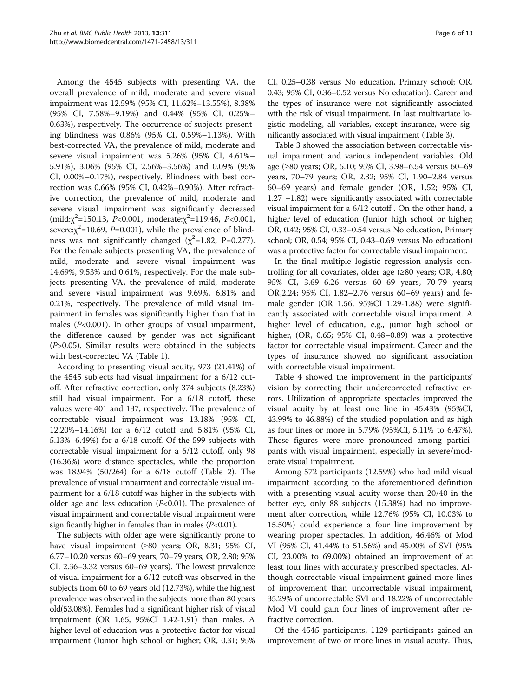Among the 4545 subjects with presenting VA, the overall prevalence of mild, moderate and severe visual impairment was 12.59% (95% CI, 11.62%–13.55%), 8.38% (95% CI, 7.58%–9.19%) and 0.44% (95% CI, 0.25%– 0.63%), respectively. The occurrence of subjects presenting blindness was 0.86% (95% CI, 0.59%–1.13%). With best-corrected VA, the prevalence of mild, moderate and severe visual impairment was 5.26% (95% CI, 4.61%– 5.91%), 3.06% (95% CI, 2.56%–3.56%) and 0.09% (95% CI, 0.00%–0.17%), respectively. Blindness with best correction was 0.66% (95% CI, 0.42%–0.90%). After refractive correction, the prevalence of mild, moderate and severe visual impairment was significantly decreased (mild: $\chi^2$ =150.13, P<0.001, moderate: $\chi^2$ =119.46, P<0.001, severe: $\chi^2$ =10.69, P=0.001), while the prevalence of blindness was not significantly changed  $(\chi^2=1.82, P=0.277)$ . For the female subjects presenting VA, the prevalence of mild, moderate and severe visual impairment was 14.69%, 9.53% and 0.61%, respectively. For the male subjects presenting VA, the prevalence of mild, moderate and severe visual impairment was 9.69%, 6.81% and 0.21%, respectively. The prevalence of mild visual impairment in females was significantly higher than that in males  $(P<0.001)$ . In other groups of visual impairment, the difference caused by gender was not significant  $(P>0.05)$ . Similar results were obtained in the subjects with best-corrected VA (Table [1\)](#page-3-0).

According to presenting visual acuity, 973 (21.41%) of the 4545 subjects had visual impairment for a 6/12 cutoff. After refractive correction, only 374 subjects (8.23%) still had visual impairment. For a 6/18 cutoff, these values were 401 and 137, respectively. The prevalence of correctable visual impairment was 13.18% (95% CI, 12.20%–14.16%) for a 6/12 cutoff and 5.81% (95% CI, 5.13%–6.49%) for a 6/18 cutoff. Of the 599 subjects with correctable visual impairment for a 6/12 cutoff, only 98 (16.36%) wore distance spectacles, while the proportion was 18.94% (50/264) for a 6/18 cutoff (Table [2\)](#page-4-0). The prevalence of visual impairment and correctable visual impairment for a 6/18 cutoff was higher in the subjects with older age and less education  $(P<0.01)$ . The prevalence of visual impairment and correctable visual impairment were significantly higher in females than in males  $(P<0.01)$ .

The subjects with older age were significantly prone to have visual impairment (≥80 years; OR, 8.31; 95% CI, 6.77–10.20 versus 60–69 years, 70–79 years; OR, 2.80; 95% CI, 2.36–3.32 versus 60–69 years). The lowest prevalence of visual impairment for a 6/12 cutoff was observed in the subjects from 60 to 69 years old (12.73%), while the highest prevalence was observed in the subjects more than 80 years old(53.08%). Females had a significant higher risk of visual impairment (OR 1.65, 95%CI 1.42-1.91) than males. A higher level of education was a protective factor for visual impairment (Junior high school or higher; OR, 0.31; 95%

CI, 0.25–0.38 versus No education, Primary school; OR, 0.43; 95% CI, 0.36–0.52 versus No education). Career and the types of insurance were not significantly associated with the risk of visual impairment. In last multivariate logistic modeling, all variables, except insurance, were significantly associated with visual impairment (Table [3](#page-6-0)).

Table [3](#page-6-0) showed the association between correctable visual impairment and various independent variables. Old age (≥80 years; OR, 5.10; 95% CI, 3.98–6.54 versus 60–69 years, 70–79 years; OR, 2.32; 95% CI, 1.90–2.84 versus 60–69 years) and female gender (OR, 1.52; 95% CI, 1.27 –1.82) were significantly associated with correctable visual impairment for a 6/12 cutoff . On the other hand, a higher level of education (Junior high school or higher; OR, 0.42; 95% CI, 0.33–0.54 versus No education, Primary school; OR, 0.54; 95% CI, 0.43–0.69 versus No education) was a protective factor for correctable visual impairment.

In the final multiple logistic regression analysis controlling for all covariates, older age (≥80 years; OR, 4.80; 95% CI, 3.69–6.26 versus 60–69 years, 70-79 years; OR,2.24; 95% CI, 1.82–2.76 versus 60–69 years) and female gender (OR 1.56, 95%CI 1.29-1.88) were significantly associated with correctable visual impairment. A higher level of education, e.g., junior high school or higher, (OR, 0.65; 95% CI, 0.48–0.89) was a protective factor for correctable visual impairment. Career and the types of insurance showed no significant association with correctable visual impairment.

Table [4](#page-7-0) showed the improvement in the participants' vision by correcting their undercorrected refractive errors. Utilization of appropriate spectacles improved the visual acuity by at least one line in 45.43% (95%CI, 43.99% to 46.88%) of the studied population and as high as four lines or more in 5.79% (95%CI, 5.11% to 6.47%). These figures were more pronounced among participants with visual impairment, especially in severe/moderate visual impairment.

Among 572 participants (12.59%) who had mild visual impairment according to the aforementioned definition with a presenting visual acuity worse than 20/40 in the better eye, only 88 subjects (15.38%) had no improvement after correction, while 12.76% (95% CI, 10.03% to 15.50%) could experience a four line improvement by wearing proper spectacles. In addition, 46.46% of Mod VI (95% CI, 41.44% to 51.56%) and 45.00% of SVI (95% CI, 23.00% to 69.00%) obtained an improvement of at least four lines with accurately prescribed spectacles. Although correctable visual impairment gained more lines of improvement than uncorrectable visual impairment, 35.29% of uncorrectable SVI and 18.22% of uncorrectable Mod VI could gain four lines of improvement after refractive correction.

Of the 4545 participants, 1129 participants gained an improvement of two or more lines in visual acuity. Thus,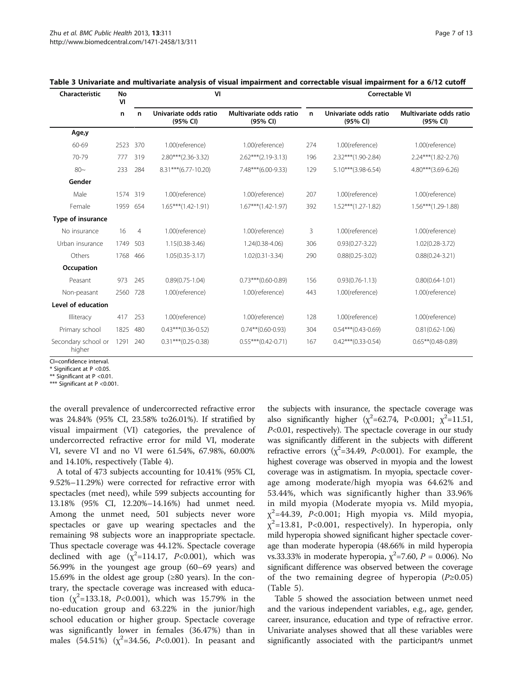| Characteristic                | <b>No</b><br>VI | V <sub>l</sub> |                                   |                                     |     | <b>Correctable VI</b>             |                                     |  |  |
|-------------------------------|-----------------|----------------|-----------------------------------|-------------------------------------|-----|-----------------------------------|-------------------------------------|--|--|
|                               | n               | n              | Univariate odds ratio<br>(95% CI) | Multivariate odds ratio<br>(95% CI) | n   | Univariate odds ratio<br>(95% CI) | Multivariate odds ratio<br>(95% CI) |  |  |
| Age,y                         |                 |                |                                   |                                     |     |                                   |                                     |  |  |
| 60-69                         | 2523            | 370            | 1.00(reference)                   | 1.00(reference)                     | 274 | 1.00(reference)                   | 1.00(reference)                     |  |  |
| 70-79                         | 777             | 319            | $2.80***$ (2.36-3.32)             | $2.62***$ (2.19-3.13)               | 196 | 2.32***(1.90-2.84)                | 2.24***(1.82-2.76)                  |  |  |
| $80-$                         | 233             | 284            | 8.31***(6.77-10.20)               | 7.48***(6.00-9.33)                  |     | $5.10***$ (3.98-6.54)             | $4.80***$ (3.69-6.26)               |  |  |
| Gender                        |                 |                |                                   |                                     |     |                                   |                                     |  |  |
| Male                          | 1574 319        |                | 1.00(reference)                   | 1.00(reference)                     | 207 | 1.00(reference)                   | 1.00(reference)                     |  |  |
| Female                        | 1959 654        |                | $1.65***$ (1.42-1.91)             | $1.67***$ (1.42-1.97)               | 392 | $1.52***(1.27-1.82)$              | 1.56***(1.29-1.88)                  |  |  |
| Type of insurance             |                 |                |                                   |                                     |     |                                   |                                     |  |  |
| No insurance                  | 16              | $\overline{4}$ | 1.00(reference)                   | 1.00(reference)                     | 3   | 1.00(reference)                   | 1.00(reference)                     |  |  |
| Urban insurance               | 1749            | 503            | $1.15(0.38 - 3.46)$               | $1.24(0.38 - 4.06)$                 | 306 | $0.93(0.27 - 3.22)$               | $1.02(0.28 - 3.72)$                 |  |  |
| Others                        | 1768            | 466            | $1.05(0.35 - 3.17)$               | $1.02(0.31 - 3.34)$                 | 290 | $0.88(0.25 - 3.02)$               | $0.88(0.24 - 3.21)$                 |  |  |
| Occupation                    |                 |                |                                   |                                     |     |                                   |                                     |  |  |
| Peasant                       | 973             | 245            | $0.89(0.75 - 1.04)$               | $0.73***(0.60-0.89)$                | 156 | $0.93(0.76 - 1.13)$               | $0.80(0.64 - 1.01)$                 |  |  |
| Non-peasant                   | 2560 728        |                | 1.00(reference)                   | 1.00(reference)                     | 443 | 1.00(reference)                   | 1.00(reference)                     |  |  |
| Level of education            |                 |                |                                   |                                     |     |                                   |                                     |  |  |
| Illiteracy                    | 417             | 253            | 1.00(reference)                   | 1.00(reference)                     | 128 | 1.00(reference)                   | 1.00(reference)                     |  |  |
| Primary school                | 1825            | 480            | $0.43***(0.36-0.52)$              | $0.74**$ (0.60-0.93)                | 304 | $0.54***(0.43-0.69)$              | $0.81(0.62 - 1.06)$                 |  |  |
| Secondary school or<br>higher | 1291            | 240            | $0.31***(0.25-0.38)$              | $0.55***(0.42-0.71)$                | 167 | $0.42***(0.33-0.54)$              | $0.65**$ (0.48-0.89)                |  |  |

# <span id="page-6-0"></span>Table 3 Univariate and multivariate analysis of visual impairment and correctable visual impairment for a 6/12 cutoff

CI=confidence interval.

\* Significant at P <0.05.

\*\* Significant at P <0.01.

\*\*\* Significant at P <0.001.

the overall prevalence of undercorrected refractive error was 24.84% (95% CI, 23.58% to26.01%). If stratified by visual impairment (VI) categories, the prevalence of undercorrected refractive error for mild VI, moderate VI, severe VI and no VI were 61.54%, 67.98%, 60.00% and 14.10%, respectively (Table [4](#page-7-0)).

A total of 473 subjects accounting for 10.41% (95% CI, 9.52%–11.29%) were corrected for refractive error with spectacles (met need), while 599 subjects accounting for 13.18% (95% CI, 12.20%–14.16%) had unmet need. Among the unmet need, 501 subjects never wore spectacles or gave up wearing spectacles and the remaining 98 subjects wore an inappropriate spectacle. Thus spectacle coverage was 44.12%. Spectacle coverage declined with age  $(\chi^2=114.17, P<0.001)$ , which was 56.99% in the youngest age group (60–69 years) and 15.69% in the oldest age group (≥80 years). In the contrary, the spectacle coverage was increased with education  $(\chi^2=133.18, P<0.001)$ , which was 15.79% in the no-education group and 63.22% in the junior/high school education or higher group. Spectacle coverage was significantly lower in females (36.47%) than in males  $(54.51\%) (\chi^2=34.56, P<0.001)$ . In peasant and

the subjects with insurance, the spectacle coverage was also significantly higher  $(\chi^2 = 62.74, P < 0.001; \chi^2 = 11.51,$ P<0.01, respectively). The spectacle coverage in our study was significantly different in the subjects with different refractive errors ( $\chi^2$ =34.49, P<0.001). For example, the highest coverage was observed in myopia and the lowest coverage was in astigmatism. In myopia, spectacle coverage among moderate/high myopia was 64.62% and 53.44%, which was significantly higher than 33.96% in mild myopia (Moderate myopia vs. Mild myopia,  $\chi^2$ =44.39, P<0.001; High myopia vs. Mild myopia,  $\chi^2$ =13.81, P<0.001, respectively). In hyperopia, only mild hyperopia showed significant higher spectacle coverage than moderate hyperopia (48.66% in mild hyperopia vs.33.33% in moderate hyperopia,  $\chi^2$ =7.60, *P* = 0.006). No significant difference was observed between the coverage of the two remaining degree of hyperopia ( $P \geq 0.05$ ) (Table [5](#page-8-0)).

Table [5](#page-8-0) showed the association between unmet need and the various independent variables, e.g., age, gender, career, insurance, education and type of refractive error. Univariate analyses showed that all these variables were significantly associated with the participant/s unmet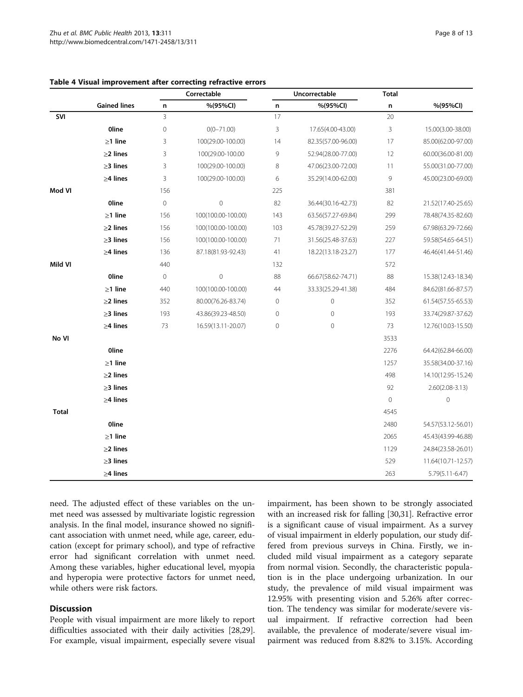|              |                     |             | Correctable         |              | Uncorrectable       | Total       |                     |
|--------------|---------------------|-------------|---------------------|--------------|---------------------|-------------|---------------------|
|              | <b>Gained lines</b> | n           | %(95%CI)            | n            | %(95%Cl)            | n           | %(95%Cl)            |
| SVI          |                     | 3           |                     | 17           |                     | 20          |                     |
|              | <b>Oline</b>        | $\mathbf 0$ | $0(0 - 71.00)$      | $\mathsf{3}$ | 17.65(4.00-43.00)   | $\mathsf 3$ | 15.00(3.00-38.00)   |
|              | $\geq$ 1 line       | 3           | 100(29.00-100.00)   | 14           | 82.35(57.00-96.00)  | 17          | 85.00(62.00-97.00)  |
|              | $\geq$ 2 lines      | 3           | 100(29.00-100.00    | $\mathsf{9}$ | 52.94(28.00-77.00)  | 12          | 60.00(36.00-81.00)  |
|              | $\geq$ 3 lines      | 3           | 100(29.00-100.00)   | $\,8\,$      | 47.06(23.00-72.00)  | 11          | 55.00(31.00-77.00)  |
|              | $\geq$ 4 lines      | 3           | 100(29.00-100.00)   | 6            | 35.29(14.00-62.00)  | 9           | 45.00(23.00-69.00)  |
| Mod VI       |                     | 156         |                     | 225          |                     | 381         |                     |
|              | <b>Oline</b>        | $\mathbf 0$ | $\mathbf 0$         | 82           | 36.44(30.16-42.73)  | 82          | 21.52(17.40-25.65)  |
|              | $\geq$ 1 line       | 156         | 100(100.00-100.00)  | 143          | 63.56(57.27-69.84)  | 299         | 78.48(74.35-82.60)  |
|              | $\geq$ 2 lines      | 156         | 100(100.00-100.00)  | 103          | 45.78(39.27-52.29)  | 259         | 67.98(63.29-72.66)  |
|              | $\geq$ 3 lines      | 156         | 100(100.00-100.00)  | 71           | 31.56(25.48-37.63)  | 227         | 59.58(54.65-64.51)  |
|              | $\geq$ 4 lines      | 136         | 87.18(81.93-92.43)  | 41           | 18.22(13.18-23.27)  | 177         | 46.46(41.44-51.46)  |
| Mild VI      |                     | 440         |                     | 132          |                     | 572         |                     |
|              | <b>Oline</b>        | $\mathbf 0$ | $\mathsf{O}\xspace$ | 88           | 66.67(58.62-74.71)  | 88          | 15.38(12.43-18.34)  |
|              | $\geq$ 1 line       | 440         | 100(100.00-100.00)  | 44           | 33.33(25.29-41.38)  | 484         | 84.62(81.66-87.57)  |
|              | $\geq$ 2 lines      | 352         | 80.00(76.26-83.74)  | $\circ$      | $\mathbf 0$         | 352         | 61.54(57.55-65.53)  |
|              | $\geq$ 3 lines      | 193         | 43.86(39.23-48.50)  | $\mathbb O$  | $\mathsf{O}\xspace$ | 193         | 33.74(29.87-37.62)  |
|              | $\geq$ 4 lines      | 73          | 16.59(13.11-20.07)  | $\mathbb O$  | 0                   | 73          | 12.76(10.03-15.50)  |
| No VI        |                     |             |                     |              |                     | 3533        |                     |
|              | <b>Oline</b>        |             |                     |              |                     | 2276        | 64.42(62.84-66.00)  |
|              | $\geq$ 1 line       |             |                     |              |                     | 1257        | 35.58(34.00-37.16)  |
|              | $\geq$ 2 lines      |             |                     |              |                     | 498         | 14.10(12.95-15.24)  |
|              | $\geq$ 3 lines      |             |                     |              |                     | 92          | $2.60(2.08-3.13)$   |
|              | $\geq$ 4 lines      |             |                     |              |                     | $\mathbf 0$ | $\mathbf 0$         |
| <b>Total</b> |                     |             |                     |              |                     | 4545        |                     |
|              | <b>Oline</b>        |             |                     |              |                     | 2480        | 54.57(53.12-56.01)  |
|              | $\geq$ 1 line       |             |                     |              |                     | 2065        | 45.43(43.99-46.88)  |
|              | $\geq$ 2 lines      |             |                     |              |                     | 1129        | 24.84(23.58-26.01)  |
|              | $\geq$ 3 lines      |             |                     |              |                     | 529         | 11.64(10.71-12.57)  |
|              | $\geq$ 4 lines      |             |                     |              |                     | 263         | $5.79(5.11 - 6.47)$ |

## <span id="page-7-0"></span>Table 4 Visual improvement after correcting refractive errors

need. The adjusted effect of these variables on the unmet need was assessed by multivariate logistic regression analysis. In the final model, insurance showed no significant association with unmet need, while age, career, education (except for primary school), and type of refractive error had significant correlation with unmet need. Among these variables, higher educational level, myopia and hyperopia were protective factors for unmet need, while others were risk factors.

# **Discussion**

People with visual impairment are more likely to report difficulties associated with their daily activities [\[28,29](#page-11-0)]. For example, visual impairment, especially severe visual impairment, has been shown to be strongly associated with an increased risk for falling [\[30,31](#page-11-0)]. Refractive error is a significant cause of visual impairment. As a survey of visual impairment in elderly population, our study differed from previous surveys in China. Firstly, we included mild visual impairment as a category separate from normal vision. Secondly, the characteristic population is in the place undergoing urbanization. In our study, the prevalence of mild visual impairment was 12.95% with presenting vision and 5.26% after correction. The tendency was similar for moderate/severe visual impairment. If refractive correction had been available, the prevalence of moderate/severe visual impairment was reduced from 8.82% to 3.15%. According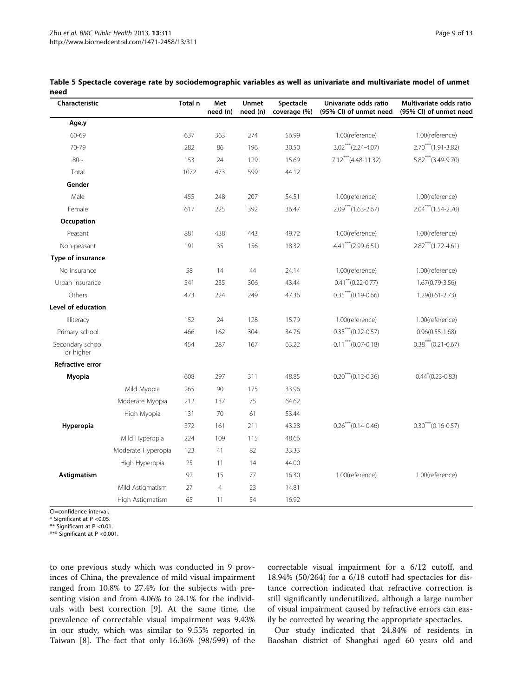| Characteristic                |                    | Total n | Met<br>need (n) | <b>Unmet</b><br>need (n) | Spectacle<br>coverage (%) | Univariate odds ratio<br>(95% CI) of unmet need | Multivariate odds ratio<br>(95% CI) of unmet need |
|-------------------------------|--------------------|---------|-----------------|--------------------------|---------------------------|-------------------------------------------------|---------------------------------------------------|
| Age,y                         |                    |         |                 |                          |                           |                                                 |                                                   |
| 60-69                         |                    | 637     | 363             | 274                      | 56.99                     | 1.00(reference)                                 | 1.00(reference)                                   |
| 70-79                         |                    | 282     | 86              | 196                      | 30.50                     | $3.02$ ***(2.24-4.07)                           | $2.70$ <sup>***</sup> (1.91-3.82)                 |
| $80-$                         |                    | 153     | 24              | 129                      | 15.69                     | $7.12***$ (4.48-11.32)                          | $5.82$ ***(3.49-9.70)                             |
| Total                         |                    | 1072    | 473             | 599                      | 44.12                     |                                                 |                                                   |
| Gender                        |                    |         |                 |                          |                           |                                                 |                                                   |
| Male                          |                    | 455     | 248             | 207                      | 54.51                     | 1.00(reference)                                 | 1.00(reference)                                   |
| Female                        |                    | 617     | 225             | 392                      | 36.47                     | $2.09***$ (1.63-2.67)                           | $2.04***$ (1.54-2.70)                             |
| Occupation                    |                    |         |                 |                          |                           |                                                 |                                                   |
| Peasant                       |                    | 881     | 438             | 443                      | 49.72                     | 1.00(reference)                                 | 1.00(reference)                                   |
| Non-peasant                   |                    | 191     | 35              | 156                      | 18.32                     | $4.41***$ (2.99-6.51)                           | $2.82***$ (1.72-4.61)                             |
| Type of insurance             |                    |         |                 |                          |                           |                                                 |                                                   |
| No insurance                  |                    | 58      | 14              | 44                       | 24.14                     | 1.00(reference)                                 | 1.00(reference)                                   |
| Urban insurance               |                    | 541     | 235             | 306                      | 43.44                     | $0.41$ <sup>**</sup> $(0.22 - 0.77)$            | $1.67(0.79 - 3.56)$                               |
| Others                        |                    | 473     | 224             | 249                      | 47.36                     | $0.35***(0.19-0.66)$                            | 1.29(0.61-2.73)                                   |
| Level of education            |                    |         |                 |                          |                           |                                                 |                                                   |
| Illiteracy                    |                    | 152     | 24              | 128                      | 15.79                     | 1.00(reference)                                 | 1.00(reference)                                   |
| Primary school                |                    | 466     | 162             | 304                      | 34.76                     | $0.35***(0.22-0.57)$                            | $0.96(0.55 - 1.68)$                               |
| Secondary school<br>or higher |                    | 454     | 287             | 167                      | 63.22                     | $0.11$ <sup>***</sup> $(0.07 - 0.18)$           | $0.38***(0.21-0.67)$                              |
| Refractive error              |                    |         |                 |                          |                           |                                                 |                                                   |
| Myopia                        |                    | 608     | 297             | 311                      | 48.85                     | $0.20***$ $(0.12-0.36)$                         | $0.44$ <sup>*</sup> $(0.23 - 0.83)$               |
|                               | Mild Myopia        | 265     | 90              | 175                      | 33.96                     |                                                 |                                                   |
|                               | Moderate Myopia    | 212     | 137             | 75                       | 64.62                     |                                                 |                                                   |
|                               | High Myopia        | 131     | 70              | 61                       | 53.44                     |                                                 |                                                   |
| Hyperopia                     |                    | 372     | 161             | 211                      | 43.28                     | $0.26***(0.14-0.46)$                            | $0.30***$ (0.16-0.57)                             |
|                               | Mild Hyperopia     | 224     | 109             | 115                      | 48.66                     |                                                 |                                                   |
|                               | Moderate Hyperopia | 123     | 41              | 82                       | 33.33                     |                                                 |                                                   |
|                               | High Hyperopia     | 25      | 11              | 14                       | 44.00                     |                                                 |                                                   |
| Astigmatism                   |                    | 92      | 15              | 77                       | 16.30                     | 1.00(reference)                                 | 1.00(reference)                                   |
|                               | Mild Astigmatism   | 27      | $\overline{4}$  | 23                       | 14.81                     |                                                 |                                                   |
|                               | High Astigmatism   | 65      | 11              | 54                       | 16.92                     |                                                 |                                                   |

<span id="page-8-0"></span>Table 5 Spectacle coverage rate by sociodemographic variables as well as univariate and multivariate model of unmet need

CI=confidence interval.

\* Significant at P <0.05.

\*\* Significant at P <0.01.

\*\*\* Significant at P <0.001.

to one previous study which was conducted in 9 provinces of China, the prevalence of mild visual impairment ranged from 10.8% to 27.4% for the subjects with presenting vision and from 4.06% to 24.1% for the individuals with best correction [[9\]](#page-11-0). At the same time, the prevalence of correctable visual impairment was 9.43% in our study, which was similar to 9.55% reported in Taiwan [[8\]](#page-11-0). The fact that only 16.36% (98/599) of the correctable visual impairment for a 6/12 cutoff, and 18.94% (50/264) for a 6/18 cutoff had spectacles for distance correction indicated that refractive correction is still significantly underutilized, although a large number of visual impairment caused by refractive errors can easily be corrected by wearing the appropriate spectacles.

Our study indicated that 24.84% of residents in Baoshan district of Shanghai aged 60 years old and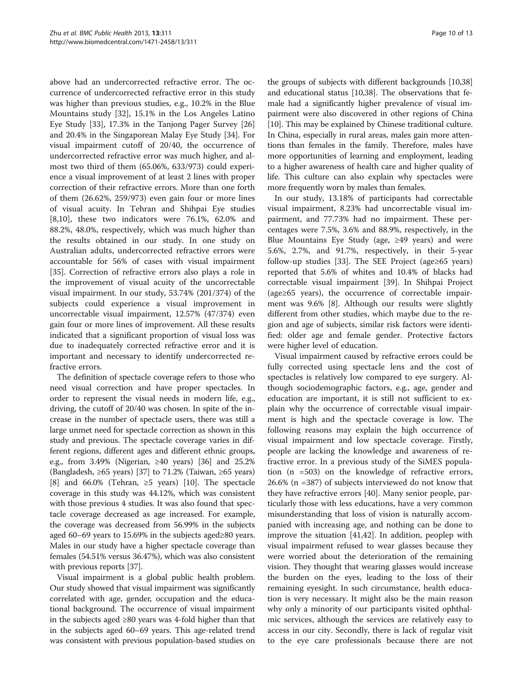above had an undercorrected refractive error. The occurrence of undercorrected refractive error in this study was higher than previous studies, e.g., 10.2% in the Blue Mountains study [[32\]](#page-11-0), 15.1% in the Los Angeles Latino Eye Study [[33\]](#page-11-0), 17.3% in the Tanjong Pager Survey [[26](#page-11-0)] and 20.4% in the Singaporean Malay Eye Study [\[34](#page-11-0)]. For visual impairment cutoff of 20/40, the occurrence of undercorrected refractive error was much higher, and almost two third of them (65.06%, 633/973) could experience a visual improvement of at least 2 lines with proper correction of their refractive errors. More than one forth of them (26.62%, 259/973) even gain four or more lines of visual acuity. In Tehran and Shihpai Eye studies [[8,10\]](#page-11-0), these two indicators were 76.1%, 62.0% and 88.2%, 48.0%, respectively, which was much higher than the results obtained in our study. In one study on Australian adults, undercorrected refractive errors were accountable for 56% of cases with visual impairment [[35\]](#page-11-0). Correction of refractive errors also plays a role in the improvement of visual acuity of the uncorrectable visual impairment. In our study, 53.74% (201/374) of the subjects could experience a visual improvement in uncorrectable visual impairment, 12.57% (47/374) even gain four or more lines of improvement. All these results indicated that a significant proportion of visual loss was due to inadequately corrected refractive error and it is important and necessary to identify undercorrected refractive errors.

The definition of spectacle coverage refers to those who need visual correction and have proper spectacles. In order to represent the visual needs in modern life, e.g., driving, the cutoff of 20/40 was chosen. In spite of the increase in the number of spectacle users, there was still a large unmet need for spectacle correction as shown in this study and previous. The spectacle coverage varies in different regions, different ages and different ethnic groups, e.g., from 3.49% (Nigerian,  $\geq 40$  years) [[36](#page-11-0)] and 25.2% (Bangladesh,  $\geq 65$  years) [\[37\]](#page-11-0) to 71.2% (Taiwan,  $\geq 65$  years) [[8\]](#page-11-0) and 66.0% (Tehran,  $\geq$ 5 years) [\[10\]](#page-11-0). The spectacle coverage in this study was 44.12%, which was consistent with those previous 4 studies. It was also found that spectacle coverage decreased as age increased. For example, the coverage was decreased from 56.99% in the subjects aged 60–69 years to 15.69% in the subjects aged≥80 years. Males in our study have a higher spectacle coverage than females (54.51% versus 36.47%), which was also consistent with previous reports [[37](#page-11-0)].

Visual impairment is a global public health problem. Our study showed that visual impairment was significantly correlated with age, gender, occupation and the educational background. The occurrence of visual impairment in the subjects aged ≥80 years was 4-fold higher than that in the subjects aged 60–69 years. This age-related trend was consistent with previous population-based studies on

the groups of subjects with different backgrounds [\[10,38](#page-11-0)] and educational status [[10,38\]](#page-11-0). The observations that female had a significantly higher prevalence of visual impairment were also discovered in other regions of China [[10](#page-11-0)]. This may be explained by Chinese traditional culture. In China, especially in rural areas, males gain more attentions than females in the family. Therefore, males have more opportunities of learning and employment, leading to a higher awareness of health care and higher quality of life. This culture can also explain why spectacles were more frequently worn by males than females.

In our study, 13.18% of participants had correctable visual impairment, 8.23% had uncorrectable visual impairment, and 77.73% had no impairment. These percentages were 7.5%, 3.6% and 88.9%, respectively, in the Blue Mountains Eye Study (age,  $\geq 49$  years) and were 5.6%, 2.7%, and 91.7%, respectively, in their 5-year follow-up studies [\[33](#page-11-0)]. The SEE Project (age≥65 years) reported that 5.6% of whites and 10.4% of blacks had correctable visual impairment [[39\]](#page-11-0). In Shihpai Project (age≥65 years), the occurrence of correctable impairment was 9.6% [\[8](#page-11-0)]. Although our results were slightly different from other studies, which maybe due to the region and age of subjects, similar risk factors were identified: older age and female gender. Protective factors were higher level of education.

Visual impairment caused by refractive errors could be fully corrected using spectacle lens and the cost of spectacles is relatively low compared to eye surgery. Although sociodemographic factors, e.g., age, gender and education are important, it is still not sufficient to explain why the occurrence of correctable visual impairment is high and the spectacle coverage is low. The following reasons may explain the high occurrence of visual impairment and low spectacle coverage. Firstly, people are lacking the knowledge and awareness of refractive error. In a previous study of the SiMES population (n =503) on the knowledge of refractive errors, 26.6% (n =387) of subjects interviewed do not know that they have refractive errors [[40\]](#page-12-0). Many senior people, particularly those with less educations, have a very common misunderstanding that loss of vision is naturally accompanied with increasing age, and nothing can be done to improve the situation [\[41,42](#page-12-0)]. In addition, peoplep with visual impairment refused to wear glasses because they were worried about the deterioration of the remaining vision. They thought that wearing glasses would increase the burden on the eyes, leading to the loss of their remaining eyesight. In such circumstance, health education is very necessary. It might also be the main reason why only a minority of our participants visited ophthalmic services, although the services are relatively easy to access in our city. Secondly, there is lack of regular visit to the eye care professionals because there are not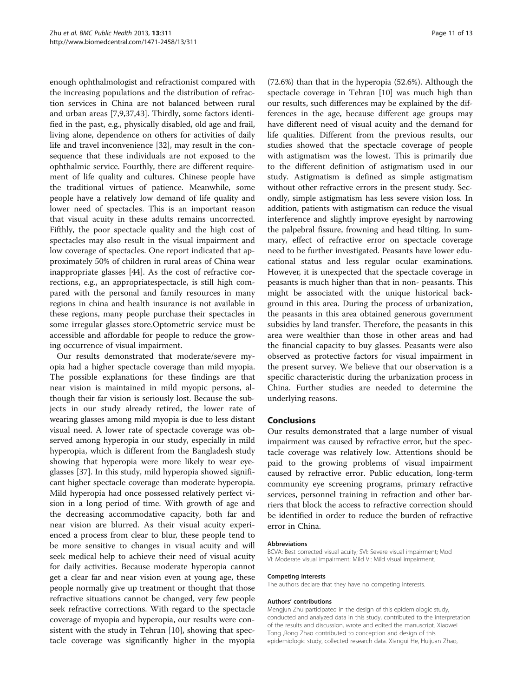enough ophthalmologist and refractionist compared with the increasing populations and the distribution of refraction services in China are not balanced between rural and urban areas [[7,9,37,](#page-11-0)[43\]](#page-12-0). Thirdly, some factors identified in the past, e.g., physically disabled, old age and frail, living alone, dependence on others for activities of daily life and travel inconvenience [[32](#page-11-0)], may result in the consequence that these individuals are not exposed to the ophthalmic service. Fourthly, there are different requirement of life quality and cultures. Chinese people have the traditional virtues of patience. Meanwhile, some people have a relatively low demand of life quality and lower need of spectacles. This is an important reason that visual acuity in these adults remains uncorrected. Fifthly, the poor spectacle quality and the high cost of spectacles may also result in the visual impairment and low coverage of spectacles. One report indicated that approximately 50% of children in rural areas of China wear inappropriate glasses [[44\]](#page-12-0). As the cost of refractive corrections, e.g., an appropriatespectacle, is still high compared with the personal and family resources in many regions in china and health insurance is not available in these regions, many people purchase their spectacles in some irregular glasses store.Optometric service must be accessible and affordable for people to reduce the growing occurrence of visual impairment.

Our results demonstrated that moderate/severe myopia had a higher spectacle coverage than mild myopia. The possible explanations for these findings are that near vision is maintained in mild myopic persons, although their far vision is seriously lost. Because the subjects in our study already retired, the lower rate of wearing glasses among mild myopia is due to less distant visual need. A lower rate of spectacle coverage was observed among hyperopia in our study, especially in mild hyperopia, which is different from the Bangladesh study showing that hyperopia were more likely to wear eyeglasses [\[37](#page-11-0)]. In this study, mild hyperopia showed significant higher spectacle coverage than moderate hyperopia. Mild hyperopia had once possessed relatively perfect vision in a long period of time. With growth of age and the decreasing accommodative capacity, both far and near vision are blurred. As their visual acuity experienced a process from clear to blur, these people tend to be more sensitive to changes in visual acuity and will seek medical help to achieve their need of visual acuity for daily activities. Because moderate hyperopia cannot get a clear far and near vision even at young age, these people normally give up treatment or thought that those refractive situations cannot be changed, very few people seek refractive corrections. With regard to the spectacle coverage of myopia and hyperopia, our results were consistent with the study in Tehran [[10\]](#page-11-0), showing that spectacle coverage was significantly higher in the myopia

(72.6%) than that in the hyperopia (52.6%). Although the spectacle coverage in Tehran [[10](#page-11-0)] was much high than our results, such differences may be explained by the differences in the age, because different age groups may have different need of visual acuity and the demand for life qualities. Different from the previous results, our studies showed that the spectacle coverage of people with astigmatism was the lowest. This is primarily due to the different definition of astigmatism used in our study. Astigmatism is defined as simple astigmatism without other refractive errors in the present study. Secondly, simple astigmatism has less severe vision loss. In addition, patients with astigmatism can reduce the visual interference and slightly improve eyesight by narrowing the palpebral fissure, frowning and head tilting. In summary, effect of refractive error on spectacle coverage need to be further investigated. Peasants have lower educational status and less regular ocular examinations. However, it is unexpected that the spectacle coverage in peasants is much higher than that in non- peasants. This might be associated with the unique historical background in this area. During the process of urbanization, the peasants in this area obtained generous government subsidies by land transfer. Therefore, the peasants in this area were wealthier than those in other areas and had the financial capacity to buy glasses. Peasants were also observed as protective factors for visual impairment in the present survey. We believe that our observation is a specific characteristic during the urbanization process in China. Further studies are needed to determine the underlying reasons.

## Conclusions

Our results demonstrated that a large number of visual impairment was caused by refractive error, but the spectacle coverage was relatively low. Attentions should be paid to the growing problems of visual impairment caused by refractive error. Public education, long-term community eye screening programs, primary refractive services, personnel training in refraction and other barriers that block the access to refractive correction should be identified in order to reduce the burden of refractive error in China.

#### Abbreviations

BCVA: Best corrected visual acuity; SVI: Severe visual impairment; Mod VI: Moderate visual impairment; Mild VI: Mild visual impairment.

#### Competing interests

The authors declare that they have no competing interests.

#### Authors' contributions

Mengjun Zhu participated in the design of this epidemiologic study, conducted and analyzed data in this study, contributed to the interpretation of the results and discussion, wrote and edited the manuscript. Xiaowei Tong ,Rong Zhao contributed to conception and design of this epidemiologic study, collected research data. Xiangui He, Huijuan Zhao,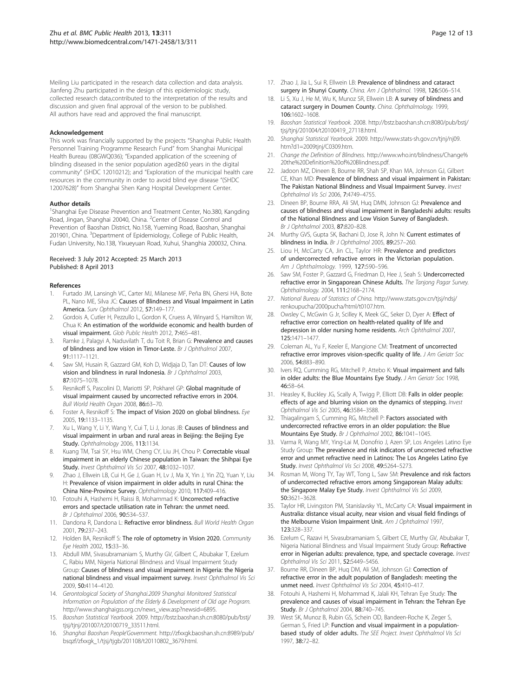<span id="page-11-0"></span>Meiling Liu participated in the research data collection and data analysis. Jianfeng Zhu participated in the design of this epidemiologic study, collected research data,contributed to the interpretation of the results and discussion and given final approval of the version to be published. All authors have read and approved the final manuscript.

#### Acknowledgement

This work was financially supported by the projects "Shanghai Public Health Personnel Training Programme Research Fund" from Shanghai Municipal Health Bureau (08GWQ036); "Expanded application of the screening of blinding diseased in the senior population aged≥60 years in the digital community" (SHDC 12010212); and "Exploration of the municipal health care resources in the community in order to avoid blind eye disease "(SHDC 12007628)" from Shanghai Shen Kang Hospital Development Center.

#### Author details

<sup>1</sup>Shanghai Eye Disease Prevention and Treatment Center, No.380, Kangding Road, Jingan, Shanghai 20040, China. <sup>2</sup>Center of Disease Control and Prevention of Baoshan District, No.158, Yueming Road, Baoshan, Shanghai 201901, China. <sup>3</sup>Department of Epidemiology, College of Public Health, Fudan University, No.138, Yixueyuan Road, Xuhui, Shanghia 200032, China.

#### Received: 3 July 2012 Accepted: 25 March 2013 Published: 8 April 2013

#### References

- 1. Furtado JM, Lansingh VC, Carter MJ, Milanese MF, Peña BN, Ghersi HA, Bote PL, Nano ME, Silva JC: Causes of Blindness and Visual Impairment in Latin America. Surv Ophthalmol 2012, 57:149–177.
- 2. Gordois A, Cutler H, Pezzullo L, Gordon K, Cruess A, Winyard S, Hamilton W, Chua K: An estimation of the worldwide economic and health burden of visual impairment. Glob Public Health 2012, 7:465–481.
- 3. Ramke J, Palagyi A, Naduvilath T, du Toit R, Brian G: Prevalence and causes of blindness and low vision in Timor-Leste. Br J Ophthalmol 2007, 91:1117–1121.
- 4. Saw SM, Husain R, Gazzard GM, Koh D, Widjaja D, Tan DT: Causes of low vision and blindness in rural Indonesia. Br J Ophthalmol 2003, 87:1075–1078.
- Resnikoff S, Pascolini D, Mariotti SP, Pokharel GP: Global magnitude of visual impairment caused by uncorrected refractive errors in 2004. Bull World Health Organ 2008, 86:63–70.
- 6. Foster A, Resnikoff S: The impact of Vision 2020 on global blindness. Eye 2005, 19:1133–1135.
- 7. Xu L, Wang Y, Li Y, Wang Y, Cui T, Li J, Jonas JB: Causes of blindness and visual impairment in urban and rural areas in Beijing: the Beijing Eye Study. Ophthalmology 2006, 113:1134.
- 8. Kuang TM, Tsai SY, Hsu WM, Cheng CY, Liu JH, Chou P: Correctable visual impairment in an elderly Chinese population in Taiwan: the Shihpai Eye Study. Invest Ophthalmol Vis Sci 2007, 48:1032–1037.
- 9. Zhao J, Ellwein LB, Cui H, Ge J, Guan H, Lv J, Ma X, Yin J, Yin ZQ, Yuan Y, Liu H: Prevalence of vision impairment in older adults in rural China: the China Nine-Province Survey. Ophthalmology 2010, 117:409–416.
- 10. Fotouhi A, Hashemi H, Raissi B, Mohammad K: Uncorrected refractive errors and spectacle utilisation rate in Tehran: the unmet need. Br J Ophthalmol 2006, 90:534–537.
- 11. Dandona R, Dandona L: Refractive error blindness. Bull World Health Organ 2001, 79:237–243.
- 12. Holden BA, Resnikoff S: The role of optometry in Vision 2020. Community Eye Health 2002, 15:33–36.
- 13. Abdull MM, Sivasubramaniam S, Murthy GV, Gilbert C, Abubakar T, Ezelum C, Rabiu MM, Nigeria National Blindness and Visual Impairment Study Group: Causes of blindness and visual impairment in Nigeria: the Nigeria national blindness and visual impairment survey. Invest Ophthalmol Vis Sci 2009, 50:4114–4120.
- 14. Gerontological Society of Shanghai.2009 Shanghai Monitored Statistical Information on Population of the Elderly & Development of Old age Program. [http://www.shanghaigss.org.cn/news\\_view.asp?newsid=6895.](http://www.shanghaigss.org.cn/news_view.asp?newsid=6895)
- 15. Baoshan Statistical Yearbook. 2009. [http://bstz.baoshan.sh.cn:8080/pub/bstj/](http://bstz.baoshan.sh.cn:8080/pub/bstj/tjsj/tjnj/201007/t20100719_33511.html) [tjsj/tjnj/201007/t20100719\\_33511.html.](http://bstz.baoshan.sh.cn:8080/pub/bstj/tjsj/tjnj/201007/t20100719_33511.html)
- 16. Shanghai Baoshan People'Government. [http://zfxxgk.baoshan.sh.cn:8989/pub/](http://zfxxgk.baoshan.sh.cn:8989/pub/bsqzf/zfxxgk_1/tjsj/tjgb/201108/t20110802_3679.html) [bsqzf/zfxxgk\\_1/tjsj/tjgb/201108/t20110802\\_3679.html](http://zfxxgk.baoshan.sh.cn:8989/pub/bsqzf/zfxxgk_1/tjsj/tjgb/201108/t20110802_3679.html).
- 17. Zhao J, Jia L, Sui R, Ellwein LB: Prevalence of blindness and cataract surgery in Shunyi County. China. Am J Ophthalmol. 1998, 126:506-514.
- 18. Li S, Xu J, He M, Wu K, Munoz SR, Ellwein LB: A survey of blindness and cataract surgery in Doumen County. China. Ophthalmology. 1999, 106:1602–1608.
- 19. Baoshan Statistical Yearbook. 2008. [http://bstz.baoshan.sh.cn:8080/pub/bstj/](http://bstz.baoshan.sh.cn:8080/pub/bstj/tjsj/tjnj/201004/t20100419_27118.html) [tjsj/tjnj/201004/t20100419\\_27118.html.](http://bstz.baoshan.sh.cn:8080/pub/bstj/tjsj/tjnj/201004/t20100419_27118.html)
- 20. Shanghai Statistical Yearbook. 2009. [http://www.stats-sh.gov.cn/tjnj/nj09.](http://www.stats-sh.gov.cn/tjnj/nj09.htm?d1=2009tjnj/C0309.htm) [htm?d1=2009tjnj/C0309.htm](http://www.stats-sh.gov.cn/tjnj/nj09.htm?d1=2009tjnj/C0309.htm).
- 21. Change the Definition of Blindness. [http://www.who.int/blindness/Change%](http://www.who.int/blindness/Change%20the%20Definition%20of%20Blindness.pdf) [20the%20Definition%20of%20Blindness.pdf.](http://www.who.int/blindness/Change%20the%20Definition%20of%20Blindness.pdf)
- 22. Jadoon MZ, Dineen B, Bourne RR, Shah SP, Khan MA, Johnson GJ, Gilbert CE, Khan MD: Prevalence of blindness and visual impairment in Pakistan: The Pakistan National Blindness and Visual Impairment Survey. Invest Ophthalmol Vis Sci 2006, 7:4749–4755.
- 23. Dineen BP, Bourne RRA, Ali SM, Hug DMN, Johnson GJ: Prevalence and causes of blindness and visual impairment in Bangladeshi adults: results of the National Blindness and Low Vision Survey of Bangladesh. Br J Ophthalmol 2003, 87:820–828.
- 24. Murthy GVS, Gupta SK, Bachani D, Jose R, John N: Current estimates of blindness in India. Br J Ophthalmol 2005, 89:257–260.
- 25. Liou H, McCarty CA, Jin CL, Taylor HR: Prevalence and predictors of undercorrected refractive errors in the Victorian population. Am J Ophthalmology. 1999, 127:590–596.
- 26. Saw SM, Foster P, Gazzard G, Friedman D, Hee J, Seah S: Undercorrected refractive error in Singaporean Chinese Adults. The Tanjong Pagar Survey. Ophthalmology. 2004, 111:2168–2174.
- 27. National Bureau of Statistics of China. [http://www.stats.gov.cn/tjsj/ndsj/](http://www.stats.gov.cn/tjsj/ndsj/renkoupucha/2000pucha/html/t0107.htm) [renkoupucha/2000pucha/html/t0107.htm.](http://www.stats.gov.cn/tjsj/ndsj/renkoupucha/2000pucha/html/t0107.htm)
- 28. Owsley C, McGwin G Jr, Scilley K, Meek GC, Seker D, Dyer A: Effect of refractive error correction on health-related quality of life and depression in older nursing home residents. Arch Ophthalmol 2007, 125:1471–1477.
- 29. Coleman AL, Yu F, Keeler E, Mangione CM: Treatment of uncorrected refractive error improves vision-specific quality of life. J Am Geriatr Soc 2006, 54:883–890.
- 30. Ivers RQ, Cumming RG, Mitchell P, Attebo K: Visual impairment and falls in older adults: the Blue Mountains Eye Study. J Am Geriatr Soc 1998, 46:58–64.
- 31. Heasley K, Buckley JG, Scally A, Twigg P, Elliott DB: Falls in older people: effects of age and blurring vision on the dynamics of stepping. Invest Ophthalmol Vis Sci 2005, 46:3584–3588.
- 32. Thiagalingam S, Cumming RG, Mitchell P: Factors associated with undercorrected refractive errors in an older population: the Blue Mountains Eye Study. Br J Ophthalmol 2002, 86:1041–1045.
- 33. Varma R, Wang MY, Ying-Lai M, Donofrio J, Azen SP, Los Angeles Latino Eye Study Group: The prevalence and risk indicators of uncorrected refractive error and unmet refractive need in Latinos: The Los Angeles Latino Eye Study. Invest Ophthalmol Vis Sci 2008, 49:5264-5273.
- 34. Rosman M, Wong TY, Tay WT, Tong L, Saw SM: Prevalence and risk factors of undercorrected refractive errors among Singaporean Malay adults: the Singapore Malay Eye Study. Invest Ophthalmol Vis Sci 2009, 50:3621–3628.
- 35. Taylor HR, Livingston PM, Stanislavsky YL, McCarty CA: Visual impairment in Australia: distance visual acuity, near vision and visual field findings of the Melbourne Vision Impairment Unit. Am J Ophthalmol 1997, 123:328–337.
- 36. Ezelum C, Razavi H, Sivasubramaniam S, Gilbert CE, Murthy GV, Abubakar T, Nigeria National Blindness and Visual Impairment Study Group: Refractive error in Nigerian adults: prevalence, type, and spectacle coverage. Invest Ophthalmol Vis Sci 2011, 52:5449–5456.
- 37. Bourne RR, Dineen BP, Huq DM, Ali SM, Johnson GJ: Correction of refractive error in the adult population of Bangladesh: meeting the unmet need. Invest Ophthalmol Vis Sci 2004, 45:410–417.
- 38. Fotouhi A, Hashemi H, Mohammad K, Jalali KH, Tehran Eye Study: The prevalence and causes of visual impairment in Tehran: the Tehran Eye Study. Br J Ophthalmol 2004, 88:740–745.
- 39. West SK, Munoz B, Rubin GS, Schein OD, Bandeen-Roche K, Zeger S, German S, Fried LP: Function and visual impairment in a populationbased study of older adults. The SEE Project. Invest Ophthalmol Vis Sci 1997, 38:72–82.